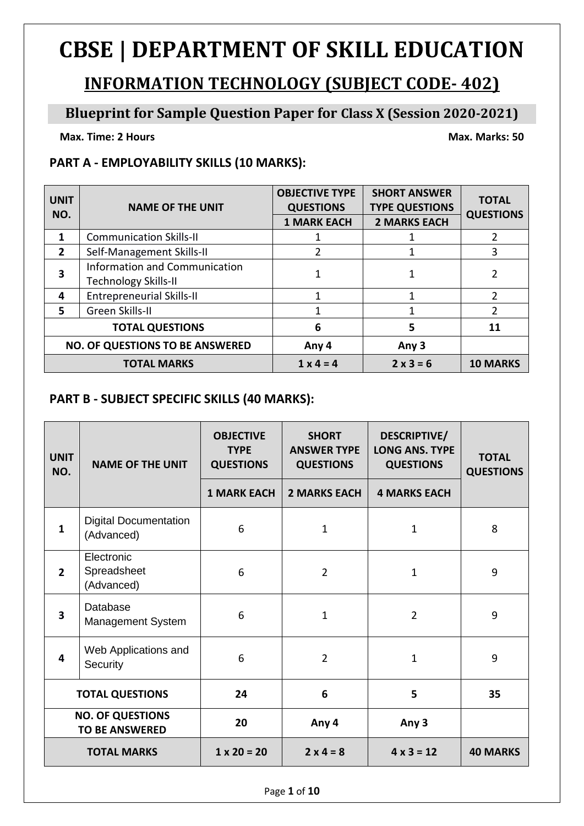# **CBSE | DEPARTMENT OF SKILL EDUCATION**

## **INFORMATION TECHNOLOGY (SUBJECT CODE- 402)**

#### **Blueprint for Sample Question Paper for Class X (Session 2020-2021)**

**Max. Time: 2** Hours Max. Marks: 50

#### **PART A - EMPLOYABILITY SKILLS (10 MARKS):**

| <b>UNIT</b><br>NO.                     | <b>NAME OF THE UNIT</b>                                             | <b>OBJECTIVE TYPE</b><br><b>QUESTIONS</b><br><b>1 MARK EACH</b> | <b>SHORT ANSWER</b><br><b>TYPE QUESTIONS</b><br><b>2 MARKS EACH</b> | <b>TOTAL</b><br><b>QUESTIONS</b> |
|----------------------------------------|---------------------------------------------------------------------|-----------------------------------------------------------------|---------------------------------------------------------------------|----------------------------------|
| 1                                      | <b>Communication Skills-II</b>                                      |                                                                 |                                                                     |                                  |
| $\overline{2}$                         | Self-Management Skills-II                                           | 2                                                               |                                                                     | 3                                |
| 3                                      | <b>Information and Communication</b><br><b>Technology Skills-II</b> |                                                                 |                                                                     |                                  |
| 4                                      | <b>Entrepreneurial Skills-II</b>                                    | 1                                                               | 1                                                                   | C.                               |
| 5.                                     | Green Skills-II                                                     |                                                                 |                                                                     | 2                                |
|                                        | <b>TOTAL QUESTIONS</b>                                              | 6                                                               | 5                                                                   | 11                               |
| <b>NO. OF QUESTIONS TO BE ANSWERED</b> |                                                                     | Any 4                                                           | Any 3                                                               |                                  |
|                                        | <b>TOTAL MARKS</b>                                                  | $1 \times 4 = 4$                                                | $2 \times 3 = 6$                                                    | <b>10 MARKS</b>                  |

#### **PART B - SUBJECT SPECIFIC SKILLS (40 MARKS):**

| <b>UNIT</b><br>NO. | <b>NAME OF THE UNIT</b>                          | <b>OBJECTIVE</b><br><b>TYPE</b><br><b>QUESTIONS</b> | <b>SHORT</b><br><b>ANSWER TYPE</b><br><b>QUESTIONS</b> | DESCRIPTIVE/<br><b>LONG ANS. TYPE</b><br><b>QUESTIONS</b> | <b>TOTAL</b><br><b>QUESTIONS</b> |
|--------------------|--------------------------------------------------|-----------------------------------------------------|--------------------------------------------------------|-----------------------------------------------------------|----------------------------------|
|                    |                                                  | <b>1 MARK EACH</b>                                  | <b>2 MARKS EACH</b>                                    | <b>4 MARKS EACH</b>                                       |                                  |
| $\mathbf{1}$       | <b>Digital Documentation</b><br>(Advanced)       | 6                                                   | $\mathbf 1$                                            | $\mathbf{1}$                                              | 8                                |
| $\overline{2}$     | Electronic<br>Spreadsheet<br>(Advanced)          | 6                                                   | $\overline{2}$                                         | 1                                                         | 9                                |
| 3                  | Database<br><b>Management System</b>             | 6                                                   | $\mathbf{1}$                                           | $\overline{2}$                                            | 9                                |
| 4                  | Web Applications and<br>Security                 | 6                                                   | $\overline{2}$                                         | 1                                                         | 9                                |
|                    | <b>TOTAL QUESTIONS</b>                           | 24                                                  | 6                                                      | 5                                                         | 35                               |
|                    | <b>NO. OF QUESTIONS</b><br><b>TO BE ANSWERED</b> | 20                                                  | Any 4                                                  | Any 3                                                     |                                  |
|                    | <b>TOTAL MARKS</b>                               | $1 \times 20 = 20$                                  | $2 \times 4 = 8$                                       | $4 \times 3 = 12$                                         | <b>40 MARKS</b>                  |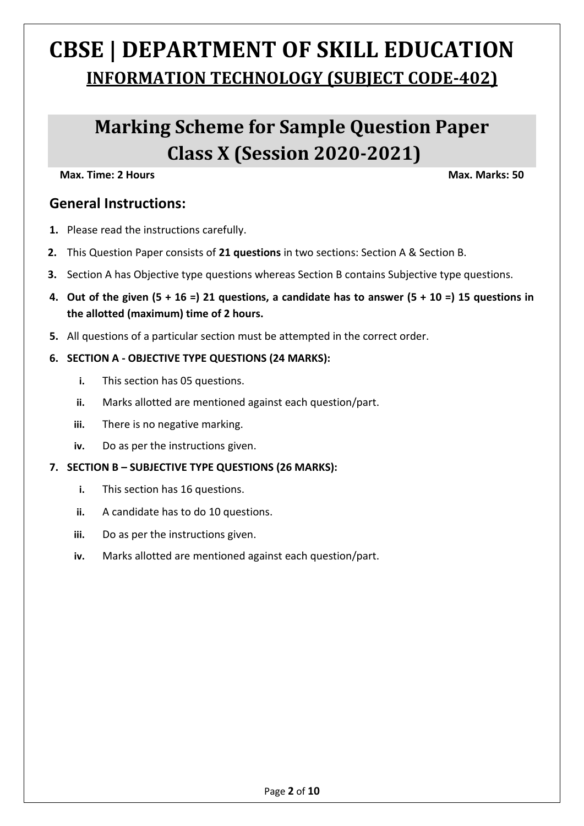# **CBSE | DEPARTMENT OF SKILL EDUCATION INFORMATION TECHNOLOGY (SUBJECT CODE-402)**

## **Marking Scheme for Sample Question Paper Class X (Session 2020-2021)**

**Max. Time: 2 Hours Max. Marks: 50** 

#### **General Instructions:**

- **1.** Please read the instructions carefully.
- **2.** This Question Paper consists of **21 questions** in two sections: Section A & Section B.
- **3.** Section A has Objective type questions whereas Section B contains Subjective type questions.
- **4. Out of the given (5 + 16 =) 21 questions, a candidate has to answer (5 + 10 =) 15 questions in the allotted (maximum) time of 2 hours.**
- **5.** All questions of a particular section must be attempted in the correct order.

#### **6. SECTION A - OBJECTIVE TYPE QUESTIONS (24 MARKS):**

- **i.** This section has 05 questions.
- **ii.** Marks allotted are mentioned against each question/part.
- **iii.** There is no negative marking.
- **iv.** Do as per the instructions given.
- **7. SECTION B – SUBJECTIVE TYPE QUESTIONS (26 MARKS):**
	- **i.** This section has 16 questions.
	- **ii.** A candidate has to do 10 questions.
	- **iii.** Do as per the instructions given.
	- **iv.** Marks allotted are mentioned against each question/part.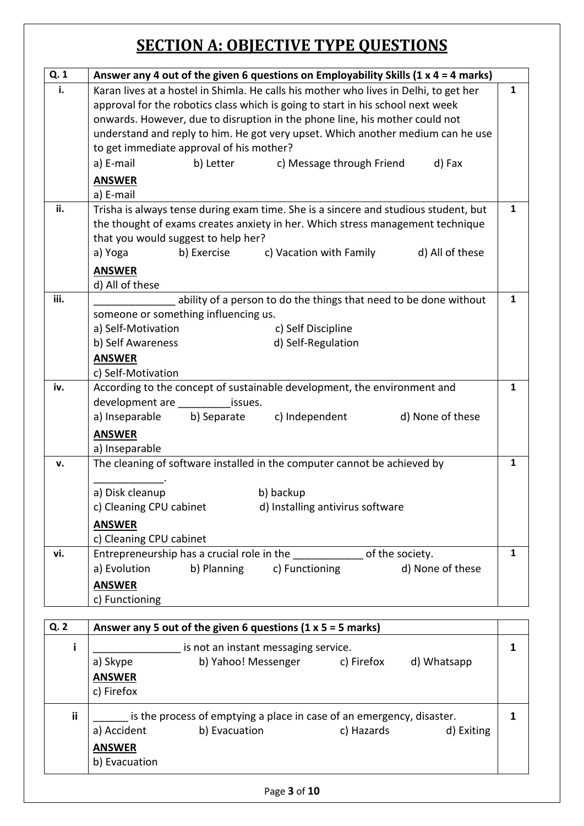## **SECTION A: OBJECTIVE TYPE QUESTIONS**

| Q. 1 | Answer any 4 out of the given 6 questions on Employability Skills (1 $x$ 4 = 4 marks)                           |              |  |
|------|-----------------------------------------------------------------------------------------------------------------|--------------|--|
| i.   | Karan lives at a hostel in Shimla. He calls his mother who lives in Delhi, to get her                           | 1            |  |
|      | approval for the robotics class which is going to start in his school next week                                 |              |  |
|      | onwards. However, due to disruption in the phone line, his mother could not                                     |              |  |
|      | understand and reply to him. He got very upset. Which another medium can he use                                 |              |  |
|      | to get immediate approval of his mother?                                                                        |              |  |
|      | a) E-mail<br>b) Letter<br>c) Message through Friend<br>d) Fax                                                   |              |  |
|      | <b>ANSWER</b>                                                                                                   |              |  |
|      | a) E-mail                                                                                                       |              |  |
| ii.  | Trisha is always tense during exam time. She is a sincere and studious student, but                             | $\mathbf{1}$ |  |
|      | the thought of exams creates anxiety in her. Which stress management technique                                  |              |  |
|      | that you would suggest to help her?                                                                             |              |  |
|      | c) Vacation with Family<br>b) Exercise<br>d) All of these<br>a) Yoga                                            |              |  |
|      | <b>ANSWER</b>                                                                                                   |              |  |
|      | d) All of these                                                                                                 |              |  |
| iii. | ability of a person to do the things that need to be done without<br>1                                          |              |  |
|      | someone or something influencing us.                                                                            |              |  |
|      | a) Self-Motivation<br>c) Self Discipline                                                                        |              |  |
|      | b) Self Awareness<br>d) Self-Regulation                                                                         |              |  |
|      | <b>ANSWER</b>                                                                                                   |              |  |
| iv.  | c) Self-Motivation                                                                                              | $\mathbf{1}$ |  |
|      | According to the concept of sustainable development, the environment and<br>development are ___________ issues. |              |  |
|      | b) Separate<br>a) Inseparable<br>c) Independent<br>d) None of these                                             |              |  |
|      | <b>ANSWER</b>                                                                                                   |              |  |
|      | a) Inseparable                                                                                                  |              |  |
| v.   | The cleaning of software installed in the computer cannot be achieved by                                        | 1            |  |
|      |                                                                                                                 |              |  |
|      | a) Disk cleanup<br>b) backup                                                                                    |              |  |
|      | c) Cleaning CPU cabinet<br>d) Installing antivirus software                                                     |              |  |
|      | <b>ANSWER</b>                                                                                                   |              |  |
|      | c) Cleaning CPU cabinet                                                                                         |              |  |
| vi.  | Entrepreneurship has a crucial role in the _______________ of the society.                                      | $\mathbf{1}$ |  |
|      | b) Planning c) Functioning<br>d) None of these<br>a) Evolution                                                  |              |  |
|      | <b>ANSWER</b>                                                                                                   |              |  |
|      | c) Functioning                                                                                                  |              |  |

| Q. 2 |                                                                       | Answer any 5 out of the given 6 questions (1 $\times$ 5 = 5 marks) |            |             |  |
|------|-----------------------------------------------------------------------|--------------------------------------------------------------------|------------|-------------|--|
|      | is not an instant messaging service.                                  |                                                                    |            |             |  |
|      | a) Skype                                                              | b) Yahoo! Messenger                                                | c) Firefox | d) Whatsapp |  |
|      | <b>ANSWER</b>                                                         |                                                                    |            |             |  |
|      | c) Firefox                                                            |                                                                    |            |             |  |
| ii   | is the process of emptying a place in case of an emergency, disaster. |                                                                    |            |             |  |
|      | a) Accident                                                           | b) Evacuation                                                      | c) Hazards | d) Exiting  |  |
|      | <b>ANSWER</b>                                                         |                                                                    |            |             |  |
|      | b) Evacuation                                                         |                                                                    |            |             |  |
|      |                                                                       |                                                                    |            |             |  |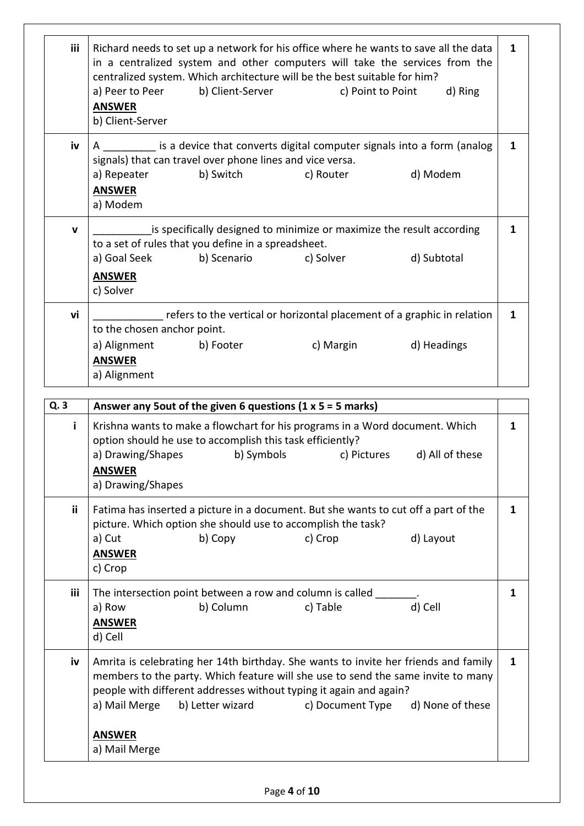| <b>iii</b>  | Richard needs to set up a network for his office where he wants to save all the data<br>in a centralized system and other computers will take the services from the<br>centralized system. Which architecture will be the best suitable for him?<br>b) Client-Server<br>a) Peer to Peer<br>d) Ring<br>c) Point to Point<br><b>ANSWER</b> | 1 |
|-------------|------------------------------------------------------------------------------------------------------------------------------------------------------------------------------------------------------------------------------------------------------------------------------------------------------------------------------------------|---|
|             | b) Client-Server                                                                                                                                                                                                                                                                                                                         |   |
| iv          | A __________ is a device that converts digital computer signals into a form (analog<br>signals) that can travel over phone lines and vice versa.<br>d) Modem<br>b) Switch<br>a) Repeater<br>c) Router<br><b>ANSWER</b><br>a) Modem                                                                                                       | 1 |
| $\mathbf v$ | is specifically designed to minimize or maximize the result according<br>to a set of rules that you define in a spreadsheet.<br>a) Goal Seek<br>d) Subtotal<br>b) Scenario<br>c) Solver<br><b>ANSWER</b><br>c) Solver                                                                                                                    | 1 |
| vi          | refers to the vertical or horizontal placement of a graphic in relation<br>to the chosen anchor point.<br>d) Headings<br>a) Alignment<br>b) Footer<br>c) Margin<br><b>ANSWER</b><br>a) Alignment                                                                                                                                         | 1 |

| Q.3        | Answer any 5 out of the given 6 questions $(1 \times 5 = 5 \text{ marks})$                                                                                                                                                                                                                                           |   |  |
|------------|----------------------------------------------------------------------------------------------------------------------------------------------------------------------------------------------------------------------------------------------------------------------------------------------------------------------|---|--|
| j.         | Krishna wants to make a flowchart for his programs in a Word document. Which<br>option should he use to accomplish this task efficiently?                                                                                                                                                                            |   |  |
|            | a) Drawing/Shapes<br>b) Symbols<br>c) Pictures d) All of these                                                                                                                                                                                                                                                       |   |  |
|            | <b>ANSWER</b>                                                                                                                                                                                                                                                                                                        |   |  |
|            | a) Drawing/Shapes                                                                                                                                                                                                                                                                                                    |   |  |
| ii.        | Fatima has inserted a picture in a document. But she wants to cut off a part of the<br>picture. Which option she should use to accomplish the task?                                                                                                                                                                  | 1 |  |
|            | a) Cut<br>b) Copy<br>c) Crop<br>d) Layout                                                                                                                                                                                                                                                                            |   |  |
|            | <b>ANSWER</b>                                                                                                                                                                                                                                                                                                        |   |  |
|            | c) Crop                                                                                                                                                                                                                                                                                                              |   |  |
| <b>iii</b> | The intersection point between a row and column is called ____                                                                                                                                                                                                                                                       | 1 |  |
|            | d) Cell<br>a) Row<br>b) Column<br>c) Table                                                                                                                                                                                                                                                                           |   |  |
|            | <b>ANSWER</b>                                                                                                                                                                                                                                                                                                        |   |  |
|            | d) Cell                                                                                                                                                                                                                                                                                                              |   |  |
| iv         | Amrita is celebrating her 14th birthday. She wants to invite her friends and family<br>members to the party. Which feature will she use to send the same invite to many<br>people with different addresses without typing it again and again?<br>b) Letter wizard c) Document Type d) None of these<br>a) Mail Merge |   |  |
|            | <b>ANSWER</b><br>a) Mail Merge                                                                                                                                                                                                                                                                                       |   |  |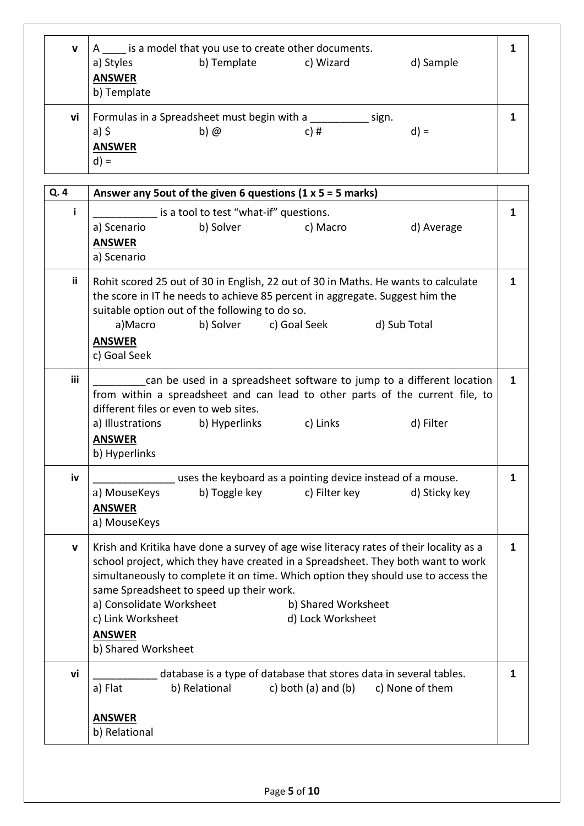| $\mathbf v$ | a) Styles<br><b>ANSWER</b><br>b) Template   | is a model that you use to create other documents.<br>b) Template | c) Wizard     | d) Sample |  |
|-------------|---------------------------------------------|-------------------------------------------------------------------|---------------|-----------|--|
| vi          | a) $\frac{1}{2}$<br><b>ANSWER</b><br>$d) =$ | Formulas in a Spreadsheet must begin with a<br>$b)$ $@$           | sign.<br>c) # | $d) =$    |  |

| Q. 4        | Answer any 5 out of the given 6 questions $(1 \times 5 = 5 \text{ marks})$                                                     |   |  |  |
|-------------|--------------------------------------------------------------------------------------------------------------------------------|---|--|--|
| i           | is a tool to test "what-if" questions.                                                                                         | 1 |  |  |
|             | b) Solver<br>c) Macro<br>a) Scenario<br>d) Average                                                                             |   |  |  |
|             | <b>ANSWER</b><br>a) Scenario                                                                                                   |   |  |  |
|             |                                                                                                                                |   |  |  |
| <b>ii</b>   | Rohit scored 25 out of 30 in English, 22 out of 30 in Maths. He wants to calculate                                             | 1 |  |  |
|             | the score in IT he needs to achieve 85 percent in aggregate. Suggest him the<br>suitable option out of the following to do so. |   |  |  |
|             | d) Sub Total<br>a)Macro<br>b) Solver<br>c) Goal Seek                                                                           |   |  |  |
|             | <b>ANSWER</b>                                                                                                                  |   |  |  |
|             | c) Goal Seek                                                                                                                   |   |  |  |
| iii         | can be used in a spreadsheet software to jump to a different location                                                          | 1 |  |  |
|             | from within a spreadsheet and can lead to other parts of the current file, to<br>different files or even to web sites.         |   |  |  |
|             | a) Illustrations<br>b) Hyperlinks<br>c) Links<br>d) Filter                                                                     |   |  |  |
|             | <b>ANSWER</b>                                                                                                                  |   |  |  |
|             | b) Hyperlinks                                                                                                                  |   |  |  |
| iv          | uses the keyboard as a pointing device instead of a mouse.                                                                     | 1 |  |  |
|             | b) Toggle key<br>c) Filter key<br>d) Sticky key<br>a) MouseKeys                                                                |   |  |  |
|             | <b>ANSWER</b>                                                                                                                  |   |  |  |
|             | a) MouseKeys                                                                                                                   |   |  |  |
| $\mathbf v$ | Krish and Kritika have done a survey of age wise literacy rates of their locality as a                                         | 1 |  |  |
|             | school project, which they have created in a Spreadsheet. They both want to work                                               |   |  |  |
|             | simultaneously to complete it on time. Which option they should use to access the<br>same Spreadsheet to speed up their work.  |   |  |  |
|             | a) Consolidate Worksheet<br>b) Shared Worksheet                                                                                |   |  |  |
|             | c) Link Worksheet<br>d) Lock Worksheet                                                                                         |   |  |  |
|             | <b>ANSWER</b>                                                                                                                  |   |  |  |
|             | b) Shared Worksheet                                                                                                            |   |  |  |
| vi          | database is a type of database that stores data in several tables.                                                             | 1 |  |  |
|             | a) Flat<br>b) Relational<br>c) both $(a)$ and $(b)$<br>c) None of them                                                         |   |  |  |
|             | <b>ANSWER</b>                                                                                                                  |   |  |  |
|             | b) Relational                                                                                                                  |   |  |  |
|             |                                                                                                                                |   |  |  |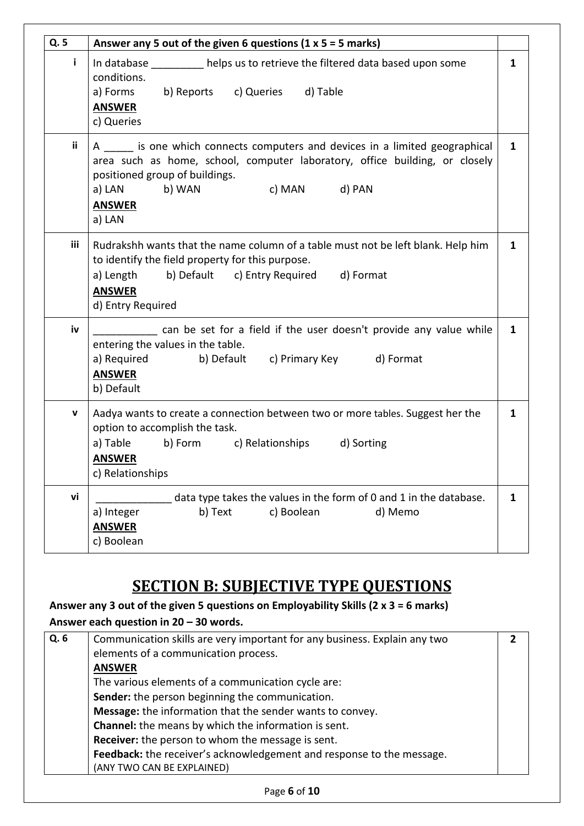| Q. 5       | Answer any 5 out of the given 6 questions $(1 \times 5 = 5 \text{ marks})$                                                                                                                                                                                         |              |
|------------|--------------------------------------------------------------------------------------------------------------------------------------------------------------------------------------------------------------------------------------------------------------------|--------------|
| i.         | In database ___________ helps us to retrieve the filtered data based upon some<br>conditions.<br>a) Forms b) Reports c) Queries d) Table<br><b>ANSWER</b><br>c) Queries                                                                                            | $\mathbf{1}$ |
| ii.        | A ______ is one which connects computers and devices in a limited geographical<br>area such as home, school, computer laboratory, office building, or closely<br>positioned group of buildings.<br>c) MAN    d) PAN<br>a) LAN<br>b) WAN<br><b>ANSWER</b><br>a) LAN | $\mathbf{1}$ |
| <b>iii</b> | Rudrakshh wants that the name column of a table must not be left blank. Help him<br>to identify the field property for this purpose.<br>a) Length b) Default c) Entry Required d) Format<br><b>ANSWER</b><br>d) Entry Required                                     | $\mathbf{1}$ |
| iv         | can be set for a field if the user doesn't provide any value while<br>entering the values in the table.<br>b) Default c) Primary Key d) Format<br>a) Required<br><b>ANSWER</b><br>b) Default                                                                       | $\mathbf{1}$ |
| V          | Aadya wants to create a connection between two or more tables. Suggest her the<br>option to accomplish the task.<br>a) Table b) Form c) Relationships d) Sorting<br><b>ANSWER</b><br>c) Relationships                                                              | $\mathbf{1}$ |
| vi         | data type takes the values in the form of 0 and 1 in the database.<br>a) Integer<br>c) Boolean<br>b) Text<br>d) Memo<br><b>ANSWER</b><br>c) Boolean                                                                                                                | 1            |

### **SECTION B: SUBJECTIVE TYPE QUESTIONS**

**Answer any 3 out of the given 5 questions on Employability Skills (2 x 3 = 6 marks) Answer each question in 20 – 30 words.**

| Q.6 | Communication skills are very important for any business. Explain any two |  |  |
|-----|---------------------------------------------------------------------------|--|--|
|     | elements of a communication process.                                      |  |  |
|     | <b>ANSWER</b>                                                             |  |  |
|     | The various elements of a communication cycle are:                        |  |  |
|     | Sender: the person beginning the communication.                           |  |  |
|     | Message: the information that the sender wants to convey.                 |  |  |
|     | <b>Channel:</b> the means by which the information is sent.               |  |  |
|     | <b>Receiver:</b> the person to whom the message is sent.                  |  |  |
|     | Feedback: the receiver's acknowledgement and response to the message.     |  |  |
|     | (ANY TWO CAN BE EXPLAINED)                                                |  |  |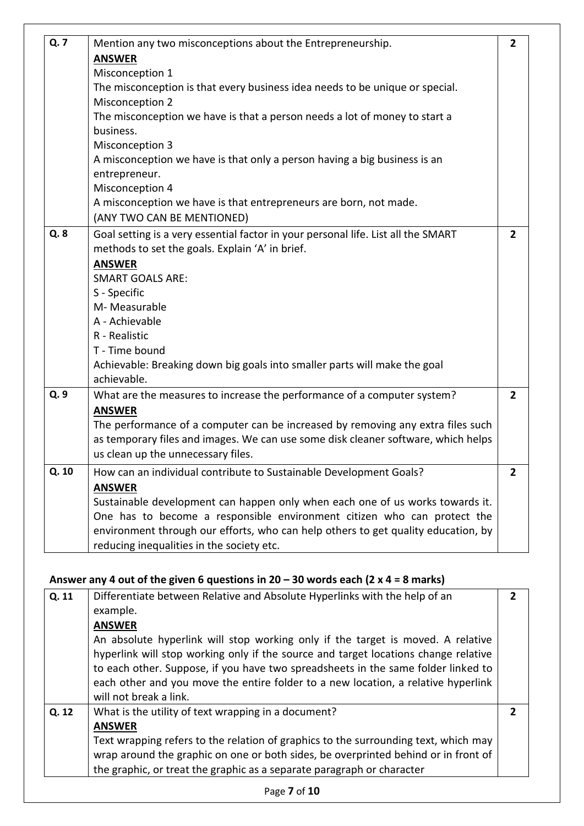| Q. 7  | Mention any two misconceptions about the Entrepreneurship.                        | $\overline{2}$ |
|-------|-----------------------------------------------------------------------------------|----------------|
|       | <b>ANSWER</b>                                                                     |                |
|       | Misconception 1                                                                   |                |
|       | The misconception is that every business idea needs to be unique or special.      |                |
|       | Misconception 2                                                                   |                |
|       | The misconception we have is that a person needs a lot of money to start a        |                |
|       | business.                                                                         |                |
|       | Misconception 3                                                                   |                |
|       | A misconception we have is that only a person having a big business is an         |                |
|       | entrepreneur.                                                                     |                |
|       | Misconception 4                                                                   |                |
|       | A misconception we have is that entrepreneurs are born, not made.                 |                |
|       | (ANY TWO CAN BE MENTIONED)                                                        |                |
| Q. 8  | Goal setting is a very essential factor in your personal life. List all the SMART | $\overline{2}$ |
|       | methods to set the goals. Explain 'A' in brief.                                   |                |
|       | <b>ANSWER</b>                                                                     |                |
|       | <b>SMART GOALS ARE:</b>                                                           |                |
|       | S - Specific                                                                      |                |
|       | M-Measurable                                                                      |                |
|       | A - Achievable                                                                    |                |
|       | R - Realistic                                                                     |                |
|       | T - Time bound                                                                    |                |
|       | Achievable: Breaking down big goals into smaller parts will make the goal         |                |
|       | achievable.                                                                       |                |
| Q. 9  | What are the measures to increase the performance of a computer system?           | $\overline{2}$ |
|       | <b>ANSWER</b>                                                                     |                |
|       | The performance of a computer can be increased by removing any extra files such   |                |
|       | as temporary files and images. We can use some disk cleaner software, which helps |                |
|       | us clean up the unnecessary files.                                                |                |
| Q. 10 | How can an individual contribute to Sustainable Development Goals?                | $\overline{2}$ |
|       | <b>ANSWER</b>                                                                     |                |
|       | Sustainable development can happen only when each one of us works towards it.     |                |
|       | One has to become a responsible environment citizen who can protect the           |                |
|       | environment through our efforts, who can help others to get quality education, by |                |
|       | reducing inequalities in the society etc.                                         |                |

#### **Answer any 4 out of the given 6 questions in 20 – 30 words each (2 x 4 = 8 marks)**

| Q. 11 | Differentiate between Relative and Absolute Hyperlinks with the help of an<br>example.<br><b>ANSWER</b><br>An absolute hyperlink will stop working only if the target is moved. A relative<br>hyperlink will stop working only if the source and target locations change relative<br>to each other. Suppose, if you have two spreadsheets in the same folder linked to<br>each other and you move the entire folder to a new location, a relative hyperlink<br>will not break a link. | 7 |
|-------|---------------------------------------------------------------------------------------------------------------------------------------------------------------------------------------------------------------------------------------------------------------------------------------------------------------------------------------------------------------------------------------------------------------------------------------------------------------------------------------|---|
| Q. 12 | What is the utility of text wrapping in a document?<br><b>ANSWER</b><br>Text wrapping refers to the relation of graphics to the surrounding text, which may<br>wrap around the graphic on one or both sides, be overprinted behind or in front of<br>the graphic, or treat the graphic as a separate paragraph or character                                                                                                                                                           |   |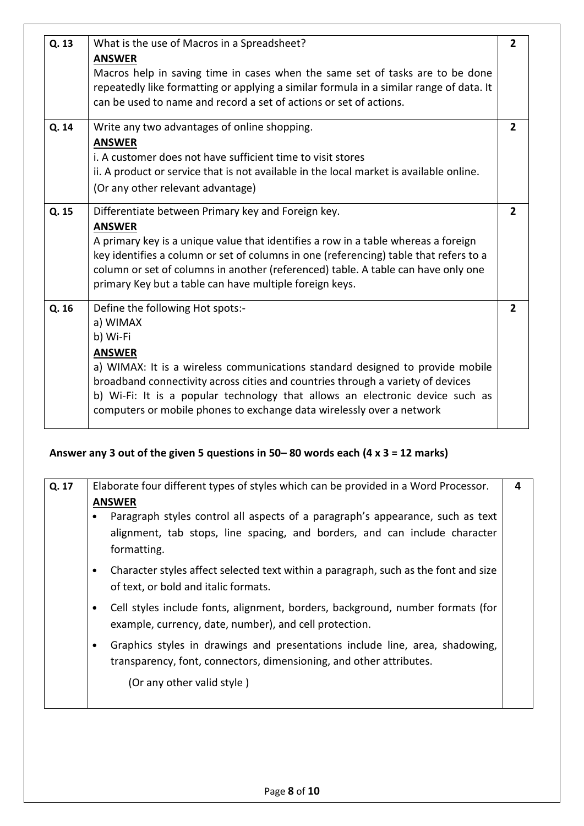| Q. 13 | What is the use of Macros in a Spreadsheet?<br><b>ANSWER</b>                                                                                                                                                                                                                                                                                                                                            |                |  |
|-------|---------------------------------------------------------------------------------------------------------------------------------------------------------------------------------------------------------------------------------------------------------------------------------------------------------------------------------------------------------------------------------------------------------|----------------|--|
|       | Macros help in saving time in cases when the same set of tasks are to be done<br>repeatedly like formatting or applying a similar formula in a similar range of data. It<br>can be used to name and record a set of actions or set of actions.                                                                                                                                                          |                |  |
| Q. 14 | Write any two advantages of online shopping.<br><b>ANSWER</b>                                                                                                                                                                                                                                                                                                                                           |                |  |
|       | i. A customer does not have sufficient time to visit stores<br>ii. A product or service that is not available in the local market is available online.<br>(Or any other relevant advantage)                                                                                                                                                                                                             |                |  |
| Q. 15 | Differentiate between Primary key and Foreign key.<br><b>ANSWER</b><br>A primary key is a unique value that identifies a row in a table whereas a foreign<br>key identifies a column or set of columns in one (referencing) table that refers to a<br>column or set of columns in another (referenced) table. A table can have only one<br>primary Key but a table can have multiple foreign keys.      | $\overline{2}$ |  |
| Q. 16 | Define the following Hot spots:-<br>a) WIMAX<br>b) Wi-Fi<br><b>ANSWER</b><br>a) WIMAX: It is a wireless communications standard designed to provide mobile<br>broadband connectivity across cities and countries through a variety of devices<br>b) Wi-Fi: It is a popular technology that allows an electronic device such as<br>computers or mobile phones to exchange data wirelessly over a network | $\overline{2}$ |  |

#### **Answer any 3 out of the given 5 questions in 50– 80 words each (4 x 3 = 12 marks)**

| Q. 17 | Elaborate four different types of styles which can be provided in a Word Processor.<br><b>ANSWER</b><br>Paragraph styles control all aspects of a paragraph's appearance, such as text<br>alignment, tab stops, line spacing, and borders, and can include character<br>formatting. | 4 |
|-------|-------------------------------------------------------------------------------------------------------------------------------------------------------------------------------------------------------------------------------------------------------------------------------------|---|
|       | Character styles affect selected text within a paragraph, such as the font and size<br>$\bullet$<br>of text, or bold and italic formats.                                                                                                                                            |   |
|       | Cell styles include fonts, alignment, borders, background, number formats (for<br>٠<br>example, currency, date, number), and cell protection.                                                                                                                                       |   |
|       | Graphics styles in drawings and presentations include line, area, shadowing,<br>transparency, font, connectors, dimensioning, and other attributes.                                                                                                                                 |   |
|       | (Or any other valid style)                                                                                                                                                                                                                                                          |   |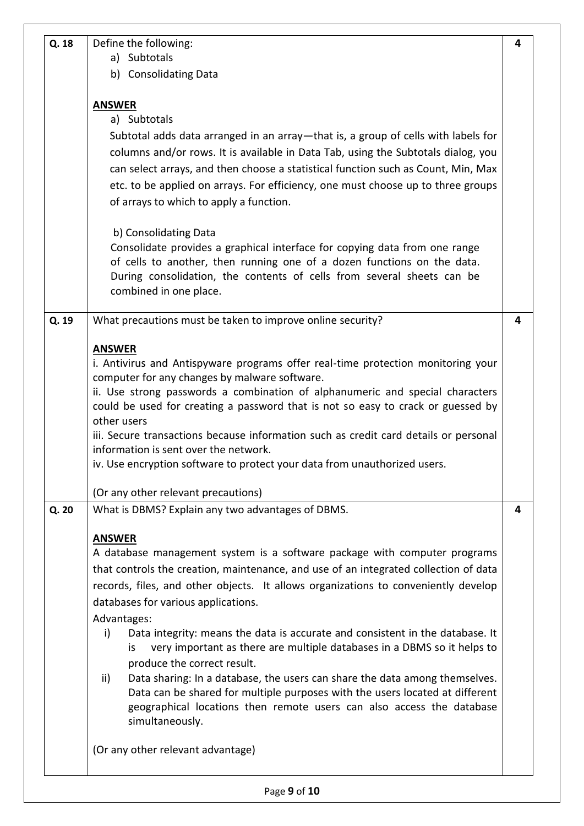| Q. 18 | Define the following:                                                                             | 4 |  |  |
|-------|---------------------------------------------------------------------------------------------------|---|--|--|
|       | a) Subtotals                                                                                      |   |  |  |
|       | b) Consolidating Data                                                                             |   |  |  |
|       |                                                                                                   |   |  |  |
|       | <b>ANSWER</b>                                                                                     |   |  |  |
|       | a) Subtotals                                                                                      |   |  |  |
|       | Subtotal adds data arranged in an array—that is, a group of cells with labels for                 |   |  |  |
|       | columns and/or rows. It is available in Data Tab, using the Subtotals dialog, you                 |   |  |  |
|       | can select arrays, and then choose a statistical function such as Count, Min, Max                 |   |  |  |
|       | etc. to be applied on arrays. For efficiency, one must choose up to three groups                  |   |  |  |
|       | of arrays to which to apply a function.                                                           |   |  |  |
|       | b) Consolidating Data                                                                             |   |  |  |
|       | Consolidate provides a graphical interface for copying data from one range                        |   |  |  |
|       | of cells to another, then running one of a dozen functions on the data.                           |   |  |  |
|       | During consolidation, the contents of cells from several sheets can be                            |   |  |  |
|       | combined in one place.                                                                            |   |  |  |
| Q. 19 | What precautions must be taken to improve online security?                                        | 4 |  |  |
|       |                                                                                                   |   |  |  |
|       | <b>ANSWER</b><br>i. Antivirus and Antispyware programs offer real-time protection monitoring your |   |  |  |
|       | computer for any changes by malware software.                                                     |   |  |  |
|       | ii. Use strong passwords a combination of alphanumeric and special characters                     |   |  |  |
|       | could be used for creating a password that is not so easy to crack or guessed by                  |   |  |  |
|       | other users                                                                                       |   |  |  |
|       | iii. Secure transactions because information such as credit card details or personal              |   |  |  |
|       | information is sent over the network.                                                             |   |  |  |
|       | iv. Use encryption software to protect your data from unauthorized users.                         |   |  |  |
|       | (Or any other relevant precautions)                                                               |   |  |  |
| Q. 20 | What is DBMS? Explain any two advantages of DBMS.                                                 | 4 |  |  |
|       | <b>ANSWER</b>                                                                                     |   |  |  |
|       | A database management system is a software package with computer programs                         |   |  |  |
|       | that controls the creation, maintenance, and use of an integrated collection of data              |   |  |  |
|       | records, files, and other objects. It allows organizations to conveniently develop                |   |  |  |
|       | databases for various applications.                                                               |   |  |  |
|       | Advantages:                                                                                       |   |  |  |
|       | Data integrity: means the data is accurate and consistent in the database. It<br>i)               |   |  |  |
|       | very important as there are multiple databases in a DBMS so it helps to<br>is                     |   |  |  |
|       | produce the correct result.                                                                       |   |  |  |
|       | ii)<br>Data sharing: In a database, the users can share the data among themselves.                |   |  |  |
|       | Data can be shared for multiple purposes with the users located at different                      |   |  |  |
|       | geographical locations then remote users can also access the database                             |   |  |  |
|       | simultaneously.                                                                                   |   |  |  |
|       | (Or any other relevant advantage)                                                                 |   |  |  |
|       |                                                                                                   |   |  |  |